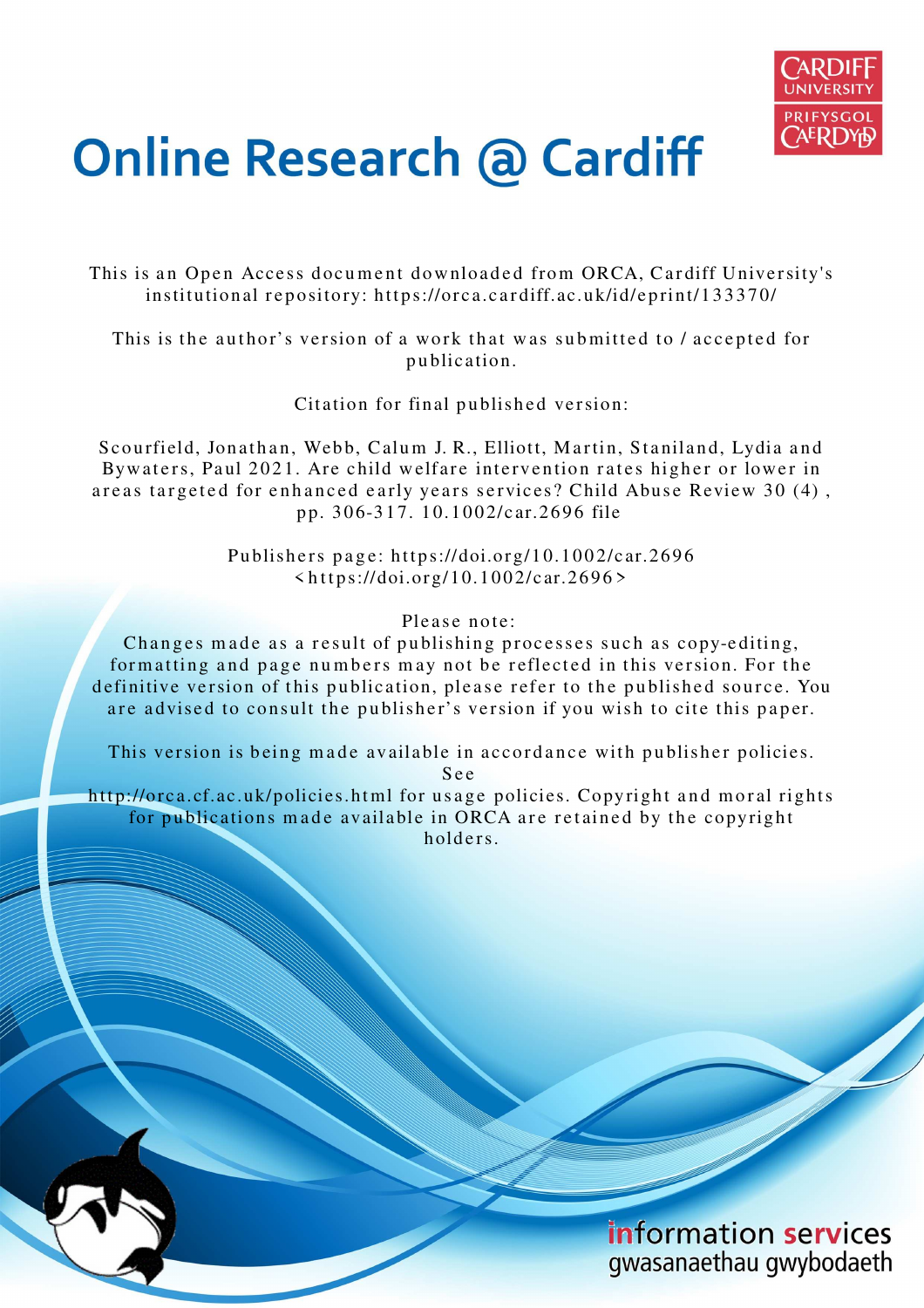

# **Online Research @ Cardiff**

This is an Open Access document downloaded from ORCA, Cardiff University's institutional repository: https://orca.cardiff.ac.uk/id/eprint/133370/

This is the author's version of a work that was submitted to / accepted for p u blication.

Citation for final published version:

Scourfield, Jonathan, Webb, Calum J. R., Elliott, Martin, Staniland, Lydia and Bywaters, Paul 2021. Are child welfare intervention rates higher or lower in areas targeted for enhanced early years services? Child Abuse Review 30 (4), p p. 3 0 6-3 1 7. 1 0.1 0 0 2/c ar.26 9 6 file

> Publishers page: https://doi.org/10.1002/car.2696  $\langle https://doi.org/10.1002/car.2696\rangle$

> > Please note:

Changes made as a result of publishing processes such as copy-editing, formatting and page numbers may not be reflected in this version. For the definitive version of this publication, please refer to the published source. You are advised to consult the publisher's version if you wish to cite this paper.

This version is being made available in accordance with publisher policies.

S e e

http://orca.cf.ac.uk/policies.html for usage policies. Copyright and moral rights for publications made available in ORCA are retained by the copyright holders



information services gwasanaethau gwybodaeth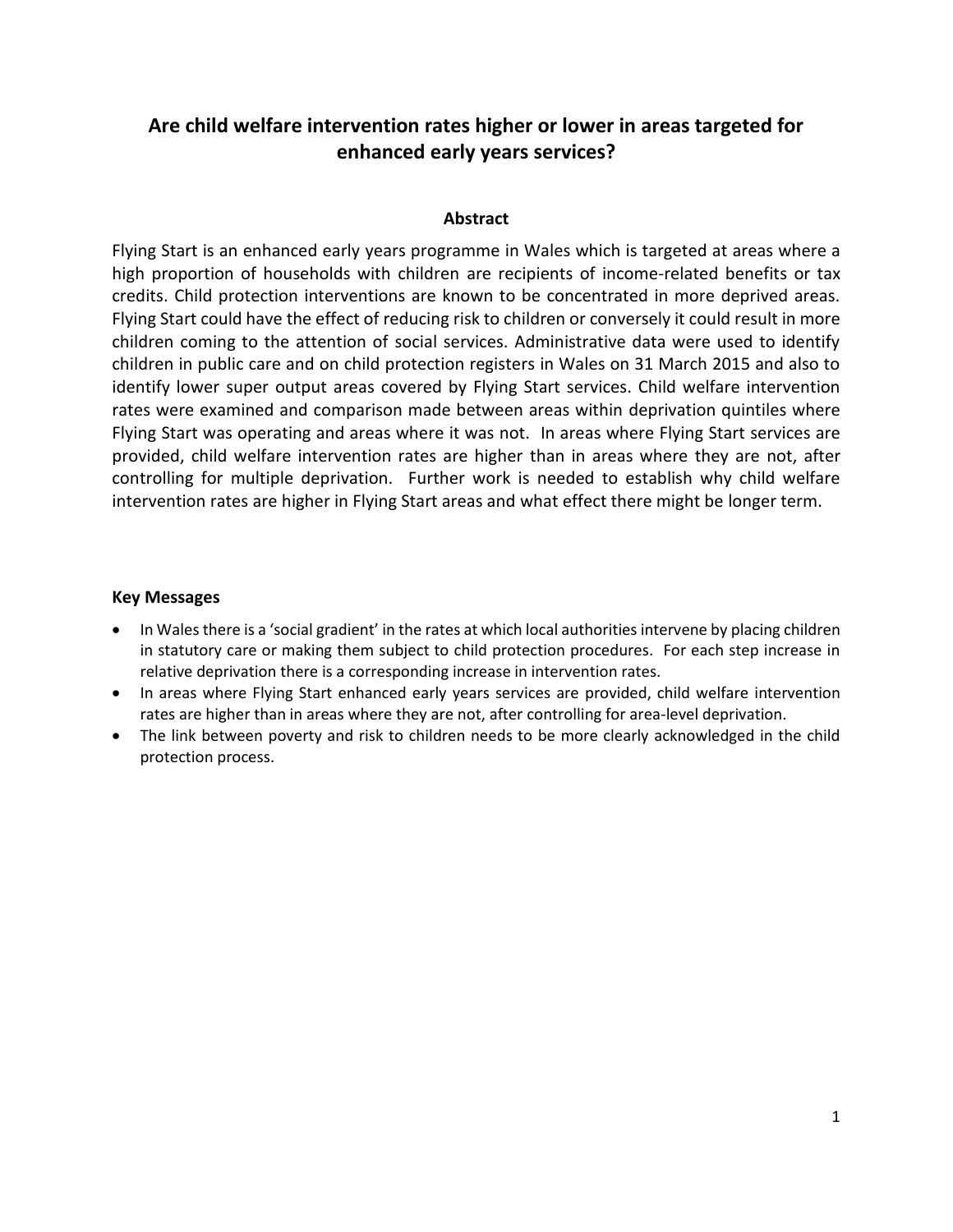# **Are child welfare intervention rates higher or lower in areas targeted for enhanced early years services?**

#### **Abstract**

Flying Start is an enhanced early years programme in Wales which is targeted at areas where a high proportion of households with children are recipients of income-related benefits or tax credits. Child protection interventions are known to be concentrated in more deprived areas. Flying Start could have the effect of reducing risk to children or conversely it could result in more children coming to the attention of social services. Administrative data were used to identify children in public care and on child protection registers in Wales on 31 March 2015 and also to identify lower super output areas covered by Flying Start services. Child welfare intervention rates were examined and comparison made between areas within deprivation quintiles where Flying Start was operating and areas where it was not. In areas where Flying Start services are provided, child welfare intervention rates are higher than in areas where they are not, after controlling for multiple deprivation. Further work is needed to establish why child welfare intervention rates are higher in Flying Start areas and what effect there might be longer term.

#### **Key Messages**

- In Wales there is a 'social gradient' in the rates at which local authorities intervene by placing children in statutory care or making them subject to child protection procedures. For each step increase in relative deprivation there is a corresponding increase in intervention rates.
- In areas where Flying Start enhanced early years services are provided, child welfare intervention rates are higher than in areas where they are not, after controlling for area-level deprivation.
- The link between poverty and risk to children needs to be more clearly acknowledged in the child protection process.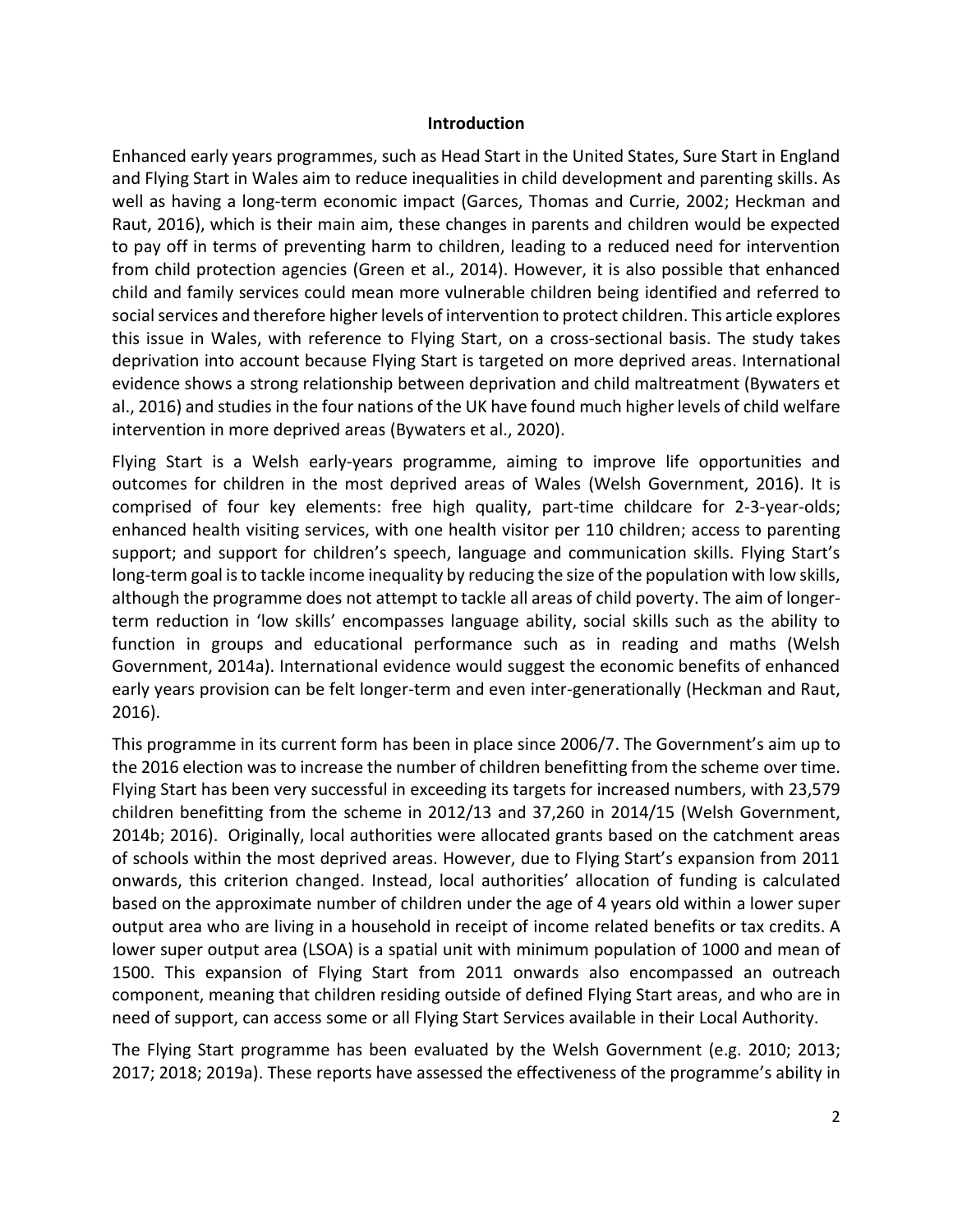#### **Introduction**

Enhanced early years programmes, such as Head Start in the United States, Sure Start in England and Flying Start in Wales aim to reduce inequalities in child development and parenting skills. As well as having a long-term economic impact (Garces, Thomas and Currie, 2002; Heckman and Raut, 2016), which is their main aim, these changes in parents and children would be expected to pay off in terms of preventing harm to children, leading to a reduced need for intervention from child protection agencies (Green et al., 2014). However, it is also possible that enhanced child and family services could mean more vulnerable children being identified and referred to social services and therefore higher levels of intervention to protect children. This article explores this issue in Wales, with reference to Flying Start, on a cross-sectional basis. The study takes deprivation into account because Flying Start is targeted on more deprived areas. International evidence shows a strong relationship between deprivation and child maltreatment (Bywaters et al., 2016) and studies in the four nations of the UK have found much higher levels of child welfare intervention in more deprived areas (Bywaters et al., 2020).

Flying Start is a Welsh early-years programme, aiming to improve life opportunities and outcomes for children in the most deprived areas of Wales (Welsh Government, 2016). It is comprised of four key elements: free high quality, part-time childcare for 2-3-year-olds; enhanced health visiting services, with one health visitor per 110 children; access to parenting support; and support for children's speech, language and communication skills. Flying Start's long-term goal is to tackle income inequality by reducing the size of the population with low skills, although the programme does not attempt to tackle all areas of child poverty. The aim of longerterm reduction in 'low skills' encompasses language ability, social skills such as the ability to function in groups and educational performance such as in reading and maths (Welsh Government, 2014a). International evidence would suggest the economic benefits of enhanced early years provision can be felt longer-term and even inter-generationally (Heckman and Raut, 2016).

This programme in its current form has been in place since 2006/7. The Government's aim up to the 2016 election was to increase the number of children benefitting from the scheme over time. Flying Start has been very successful in exceeding its targets for increased numbers, with 23,579 children benefitting from the scheme in 2012/13 and 37,260 in 2014/15 (Welsh Government, 2014b; 2016). Originally, local authorities were allocated grants based on the catchment areas of schools within the most deprived areas. However, due to Flying Start's expansion from 2011 onwards, this criterion changed. Instead, local authorities' allocation of funding is calculated based on the approximate number of children under the age of 4 years old within a lower super output area who are living in a household in receipt of income related benefits or tax credits. A lower super output area (LSOA) is a spatial unit with minimum population of 1000 and mean of 1500. This expansion of Flying Start from 2011 onwards also encompassed an outreach component, meaning that children residing outside of defined Flying Start areas, and who are in need of support, can access some or all Flying Start Services available in their Local Authority.

The Flying Start programme has been evaluated by the Welsh Government (e.g. 2010; 2013; 2017; 2018; 2019a). These reports have assessed the effectiveness of the programme's ability in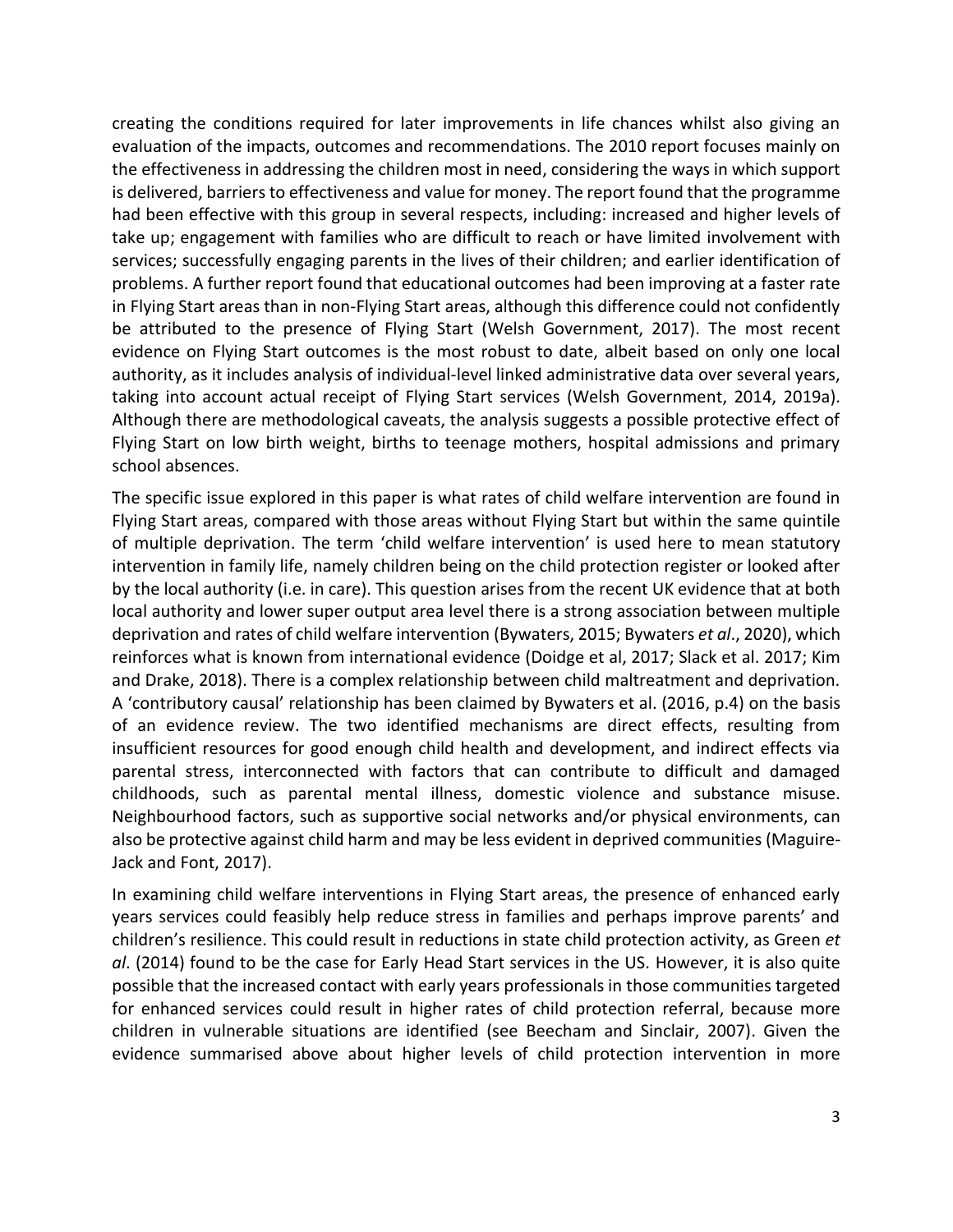creating the conditions required for later improvements in life chances whilst also giving an evaluation of the impacts, outcomes and recommendations. The 2010 report focuses mainly on the effectiveness in addressing the children most in need, considering the ways in which support is delivered, barriers to effectiveness and value for money. The report found that the programme had been effective with this group in several respects, including: increased and higher levels of take up; engagement with families who are difficult to reach or have limited involvement with services; successfully engaging parents in the lives of their children; and earlier identification of problems. A further report found that educational outcomes had been improving at a faster rate in Flying Start areas than in non-Flying Start areas, although this difference could not confidently be attributed to the presence of Flying Start (Welsh Government, 2017). The most recent evidence on Flying Start outcomes is the most robust to date, albeit based on only one local authority, as it includes analysis of individual-level linked administrative data over several years, taking into account actual receipt of Flying Start services (Welsh Government, 2014, 2019a). Although there are methodological caveats, the analysis suggests a possible protective effect of Flying Start on low birth weight, births to teenage mothers, hospital admissions and primary school absences.

The specific issue explored in this paper is what rates of child welfare intervention are found in Flying Start areas, compared with those areas without Flying Start but within the same quintile of multiple deprivation. The term 'child welfare intervention' is used here to mean statutory intervention in family life, namely children being on the child protection register or looked after by the local authority (i.e. in care). This question arises from the recent UK evidence that at both local authority and lower super output area level there is a strong association between multiple deprivation and rates of child welfare intervention (Bywaters, 2015; Bywaters *et al*., 2020), which reinforces what is known from international evidence (Doidge et al, 2017; Slack et al. 2017; Kim and Drake, 2018). There is a complex relationship between child maltreatment and deprivation. A 'contributory causal' relationship has been claimed by Bywaters et al. (2016, p.4) on the basis of an evidence review. The two identified mechanisms are direct effects, resulting from insufficient resources for good enough child health and development, and indirect effects via parental stress, interconnected with factors that can contribute to difficult and damaged childhoods, such as parental mental illness, domestic violence and substance misuse. Neighbourhood factors, such as supportive social networks and/or physical environments, can also be protective against child harm and may be less evident in deprived communities (Maguire-Jack and Font, 2017).

In examining child welfare interventions in Flying Start areas, the presence of enhanced early years services could feasibly help reduce stress in families and perhaps improve parents' and children's resilience. This could result in reductions in state child protection activity, as Green *et al*. (2014) found to be the case for Early Head Start services in the US. However, it is also quite possible that the increased contact with early years professionals in those communities targeted for enhanced services could result in higher rates of child protection referral, because more children in vulnerable situations are identified (see Beecham and Sinclair, 2007). Given the evidence summarised above about higher levels of child protection intervention in more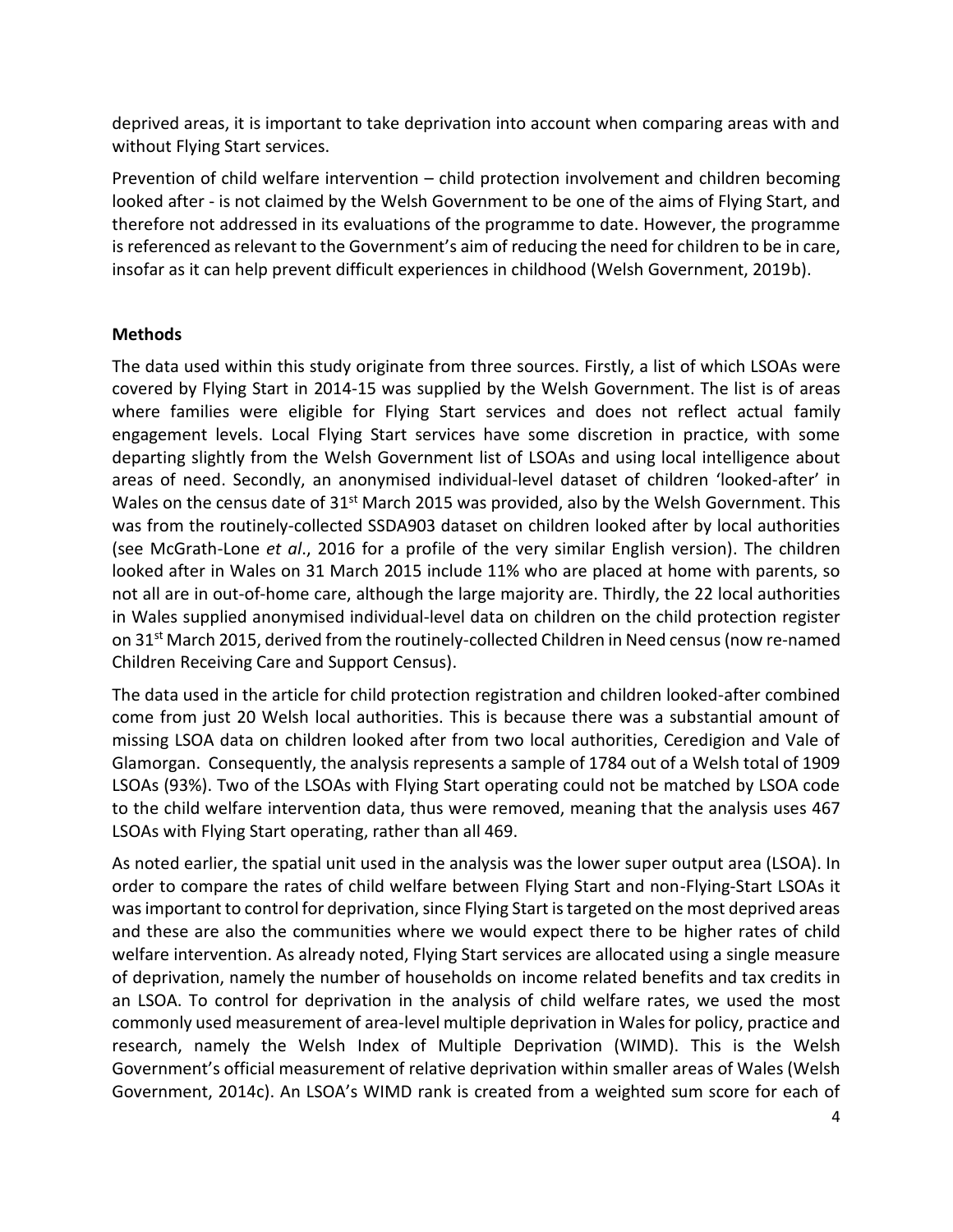deprived areas, it is important to take deprivation into account when comparing areas with and without Flying Start services.

Prevention of child welfare intervention – child protection involvement and children becoming looked after - is not claimed by the Welsh Government to be one of the aims of Flying Start, and therefore not addressed in its evaluations of the programme to date. However, the programme is referenced as relevant to the Government's aim of reducing the need for children to be in care, insofar as it can help prevent difficult experiences in childhood (Welsh Government, 2019b).

#### **Methods**

The data used within this study originate from three sources. Firstly, a list of which LSOAs were covered by Flying Start in 2014-15 was supplied by the Welsh Government. The list is of areas where families were eligible for Flying Start services and does not reflect actual family engagement levels. Local Flying Start services have some discretion in practice, with some departing slightly from the Welsh Government list of LSOAs and using local intelligence about areas of need. Secondly, an anonymised individual-level dataset of children 'looked-after' in Wales on the census date of  $31<sup>st</sup>$  March 2015 was provided, also by the Welsh Government. This was from the routinely-collected SSDA903 dataset on children looked after by local authorities (see McGrath-Lone *et al*., 2016 for a profile of the very similar English version). The children looked after in Wales on 31 March 2015 include 11% who are placed at home with parents, so not all are in out-of-home care, although the large majority are. Thirdly, the 22 local authorities in Wales supplied anonymised individual-level data on children on the child protection register on  $31^{st}$  March 2015, derived from the routinely-collected Children in Need census (now re-named Children Receiving Care and Support Census).

The data used in the article for child protection registration and children looked-after combined come from just 20 Welsh local authorities. This is because there was a substantial amount of missing LSOA data on children looked after from two local authorities, Ceredigion and Vale of Glamorgan. Consequently, the analysis represents a sample of 1784 out of a Welsh total of 1909 LSOAs (93%). Two of the LSOAs with Flying Start operating could not be matched by LSOA code to the child welfare intervention data, thus were removed, meaning that the analysis uses 467 LSOAs with Flying Start operating, rather than all 469.

As noted earlier, the spatial unit used in the analysis was the lower super output area (LSOA). In order to compare the rates of child welfare between Flying Start and non-Flying-Start LSOAs it was important to control for deprivation, since Flying Start is targeted on the most deprived areas and these are also the communities where we would expect there to be higher rates of child welfare intervention. As already noted, Flying Start services are allocated using a single measure of deprivation, namely the number of households on income related benefits and tax credits in an LSOA. To control for deprivation in the analysis of child welfare rates, we used the most commonly used measurement of area-level multiple deprivation in Wales for policy, practice and research, namely the Welsh Index of Multiple Deprivation (WIMD). This is the Welsh Government's official measurement of relative deprivation within smaller areas of Wales (Welsh Government, 2014c). An LSOA's WIMD rank is created from a weighted sum score for each of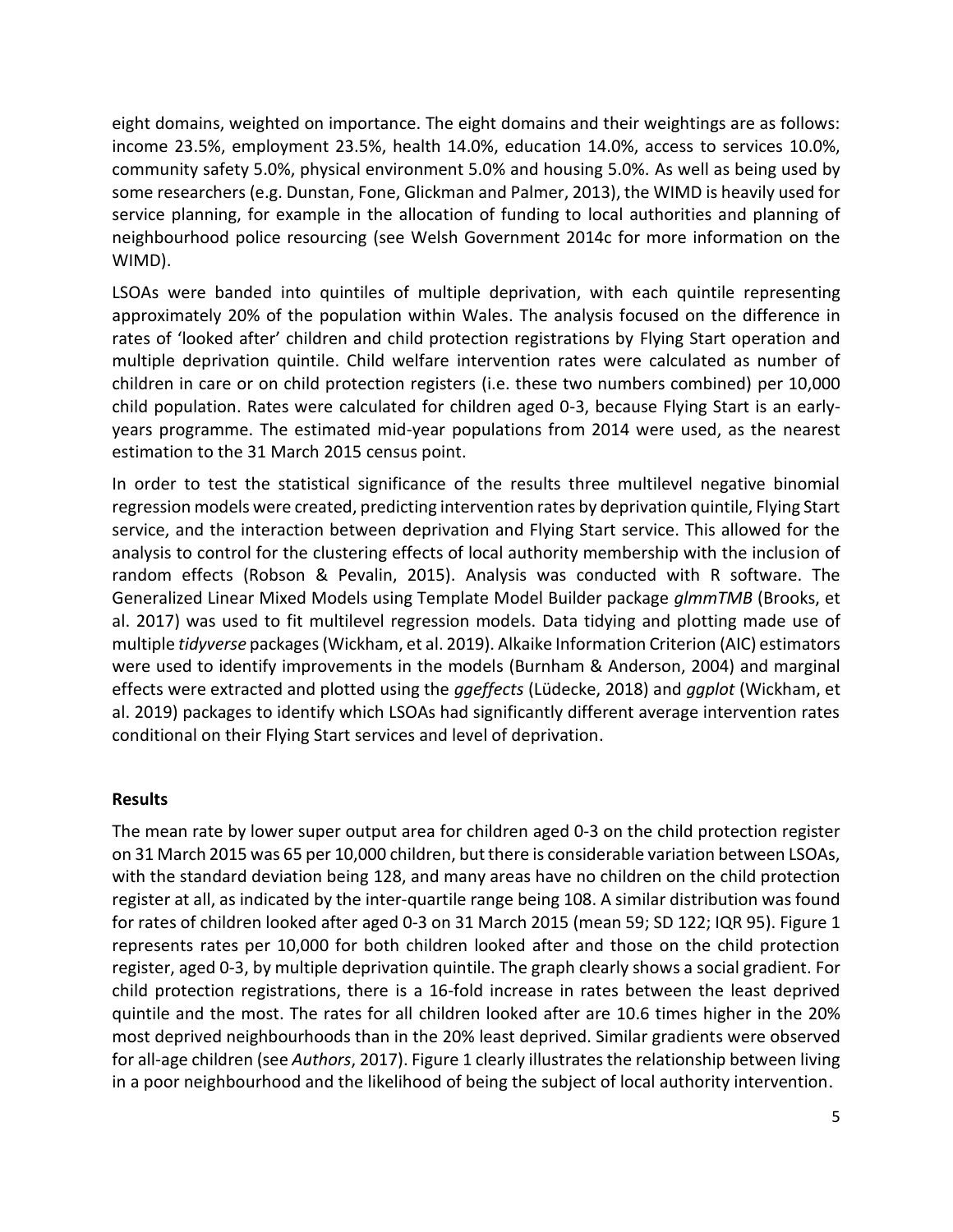eight domains, weighted on importance. The eight domains and their weightings are as follows: income 23.5%, employment 23.5%, health 14.0%, education 14.0%, access to services 10.0%, community safety 5.0%, physical environment 5.0% and housing 5.0%. As well as being used by some researchers (e.g. Dunstan, Fone, Glickman and Palmer, 2013), the WIMD is heavily used for service planning, for example in the allocation of funding to local authorities and planning of neighbourhood police resourcing (see Welsh Government 2014c for more information on the WIMD).

LSOAs were banded into quintiles of multiple deprivation, with each quintile representing approximately 20% of the population within Wales. The analysis focused on the difference in rates of 'looked after' children and child protection registrations by Flying Start operation and multiple deprivation quintile. Child welfare intervention rates were calculated as number of children in care or on child protection registers (i.e. these two numbers combined) per 10,000 child population. Rates were calculated for children aged 0-3, because Flying Start is an earlyyears programme. The estimated mid-year populations from 2014 were used, as the nearest estimation to the 31 March 2015 census point.

In order to test the statistical significance of the results three multilevel negative binomial regression models were created, predicting intervention rates by deprivation quintile, Flying Start service, and the interaction between deprivation and Flying Start service. This allowed for the analysis to control for the clustering effects of local authority membership with the inclusion of random effects (Robson & Pevalin, 2015). Analysis was conducted with R software. The Generalized Linear Mixed Models using Template Model Builder package *glmmTMB* (Brooks, et al. 2017) was used to fit multilevel regression models. Data tidying and plotting made use of multiple *tidyverse* packages (Wickham, et al. 2019). Alkaike Information Criterion (AIC) estimators were used to identify improvements in the models (Burnham & Anderson, 2004) and marginal effects were extracted and plotted using the *ggeffects* (Lüdecke, 2018) and *ggplot* (Wickham, et al. 2019) packages to identify which LSOAs had significantly different average intervention rates conditional on their Flying Start services and level of deprivation.

#### **Results**

The mean rate by lower super output area for children aged 0-3 on the child protection register on 31 March 2015 was 65 per 10,000 children, but there is considerable variation between LSOAs, with the standard deviation being 128, and many areas have no children on the child protection register at all, as indicated by the inter-quartile range being 108. A similar distribution was found for rates of children looked after aged 0-3 on 31 March 2015 (mean 59; SD 122; IQR 95). Figure 1 represents rates per 10,000 for both children looked after and those on the child protection register, aged 0-3, by multiple deprivation quintile. The graph clearly shows a social gradient. For child protection registrations, there is a 16-fold increase in rates between the least deprived quintile and the most. The rates for all children looked after are 10.6 times higher in the 20% most deprived neighbourhoods than in the 20% least deprived. Similar gradients were observed for all-age children (see *Authors*, 2017). Figure 1 clearly illustrates the relationship between living in a poor neighbourhood and the likelihood of being the subject of local authority intervention.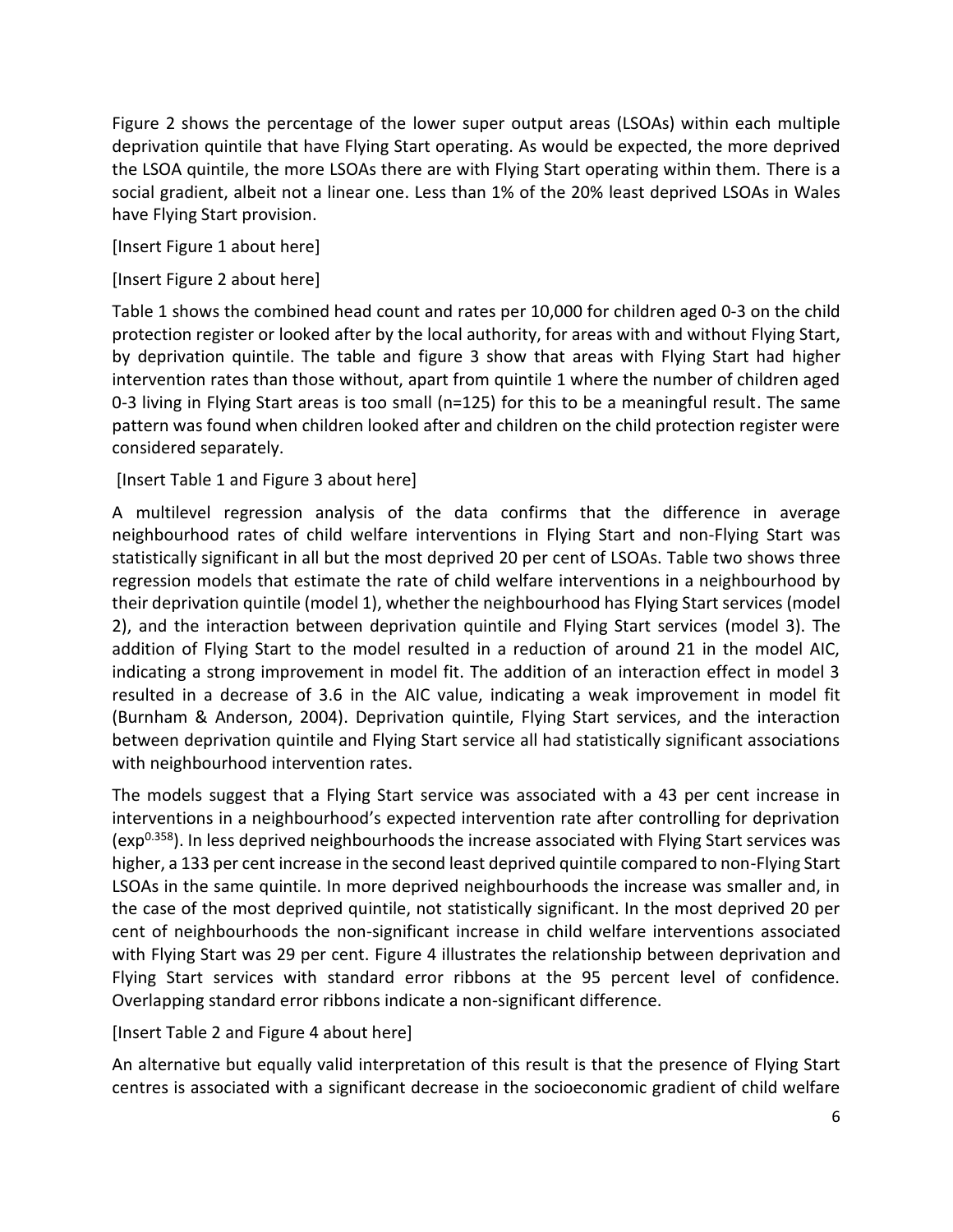Figure 2 shows the percentage of the lower super output areas (LSOAs) within each multiple deprivation quintile that have Flying Start operating. As would be expected, the more deprived the LSOA quintile, the more LSOAs there are with Flying Start operating within them. There is a social gradient, albeit not a linear one. Less than 1% of the 20% least deprived LSOAs in Wales have Flying Start provision.

[Insert Figure 1 about here]

[Insert Figure 2 about here]

Table 1 shows the combined head count and rates per 10,000 for children aged 0-3 on the child protection register or looked after by the local authority, for areas with and without Flying Start, by deprivation quintile. The table and figure 3 show that areas with Flying Start had higher intervention rates than those without, apart from quintile 1 where the number of children aged 0-3 living in Flying Start areas is too small (n=125) for this to be a meaningful result. The same pattern was found when children looked after and children on the child protection register were considered separately.

[Insert Table 1 and Figure 3 about here]

A multilevel regression analysis of the data confirms that the difference in average neighbourhood rates of child welfare interventions in Flying Start and non-Flying Start was statistically significant in all but the most deprived 20 per cent of LSOAs. Table two shows three regression models that estimate the rate of child welfare interventions in a neighbourhood by their deprivation quintile (model 1), whether the neighbourhood has Flying Start services (model 2), and the interaction between deprivation quintile and Flying Start services (model 3). The addition of Flying Start to the model resulted in a reduction of around 21 in the model AIC, indicating a strong improvement in model fit. The addition of an interaction effect in model 3 resulted in a decrease of 3.6 in the AIC value, indicating a weak improvement in model fit (Burnham & Anderson, 2004). Deprivation quintile, Flying Start services, and the interaction between deprivation quintile and Flying Start service all had statistically significant associations with neighbourhood intervention rates.

The models suggest that a Flying Start service was associated with a 43 per cent increase in interventions in a neighbourhood's expected intervention rate after controlling for deprivation (exp<sup>0.358</sup>). In less deprived neighbourhoods the increase associated with Flying Start services was higher, a 133 per cent increase in the second least deprived quintile compared to non-Flying Start LSOAs in the same quintile. In more deprived neighbourhoods the increase was smaller and, in the case of the most deprived quintile, not statistically significant. In the most deprived 20 per cent of neighbourhoods the non-significant increase in child welfare interventions associated with Flying Start was 29 per cent. Figure 4 illustrates the relationship between deprivation and Flying Start services with standard error ribbons at the 95 percent level of confidence. Overlapping standard error ribbons indicate a non-significant difference.

[Insert Table 2 and Figure 4 about here]

An alternative but equally valid interpretation of this result is that the presence of Flying Start centres is associated with a significant decrease in the socioeconomic gradient of child welfare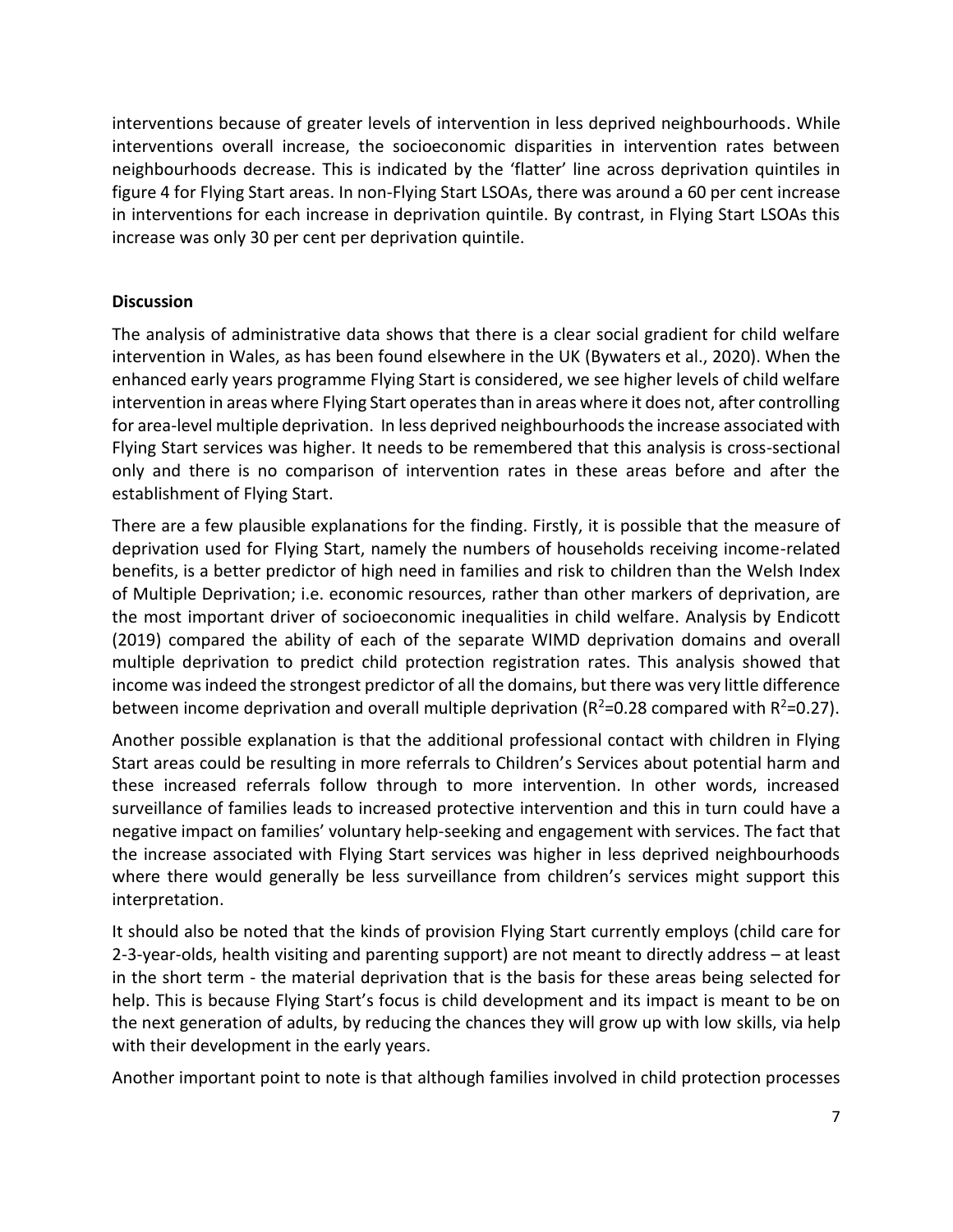interventions because of greater levels of intervention in less deprived neighbourhoods. While interventions overall increase, the socioeconomic disparities in intervention rates between neighbourhoods decrease. This is indicated by the 'flatter' line across deprivation quintiles in figure 4 for Flying Start areas. In non-Flying Start LSOAs, there was around a 60 per cent increase in interventions for each increase in deprivation quintile. By contrast, in Flying Start LSOAs this increase was only 30 per cent per deprivation quintile.

#### **Discussion**

The analysis of administrative data shows that there is a clear social gradient for child welfare intervention in Wales, as has been found elsewhere in the UK (Bywaters et al., 2020). When the enhanced early years programme Flying Start is considered, we see higher levels of child welfare intervention in areas where Flying Start operates than in areas where it does not, after controlling for area-level multiple deprivation. In less deprived neighbourhoods the increase associated with Flying Start services was higher. It needs to be remembered that this analysis is cross-sectional only and there is no comparison of intervention rates in these areas before and after the establishment of Flying Start.

There are a few plausible explanations for the finding. Firstly, it is possible that the measure of deprivation used for Flying Start, namely the numbers of households receiving income-related benefits, is a better predictor of high need in families and risk to children than the Welsh Index of Multiple Deprivation; i.e. economic resources, rather than other markers of deprivation, are the most important driver of socioeconomic inequalities in child welfare. Analysis by Endicott (2019) compared the ability of each of the separate WIMD deprivation domains and overall multiple deprivation to predict child protection registration rates. This analysis showed that income was indeed the strongest predictor of all the domains, but there was very little difference between income deprivation and overall multiple deprivation ( $R^2$ =0.28 compared with  $R^2$ =0.27).

Another possible explanation is that the additional professional contact with children in Flying Start areas could be resulting in more referrals to Children's Services about potential harm and these increased referrals follow through to more intervention. In other words, increased surveillance of families leads to increased protective intervention and this in turn could have a negative impact on families' voluntary help-seeking and engagement with services. The fact that the increase associated with Flying Start services was higher in less deprived neighbourhoods where there would generally be less surveillance from children's services might support this interpretation.

It should also be noted that the kinds of provision Flying Start currently employs (child care for 2-3-year-olds, health visiting and parenting support) are not meant to directly address – at least in the short term - the material deprivation that is the basis for these areas being selected for help. This is because Flying Start's focus is child development and its impact is meant to be on the next generation of adults, by reducing the chances they will grow up with low skills, via help with their development in the early years.

Another important point to note is that although families involved in child protection processes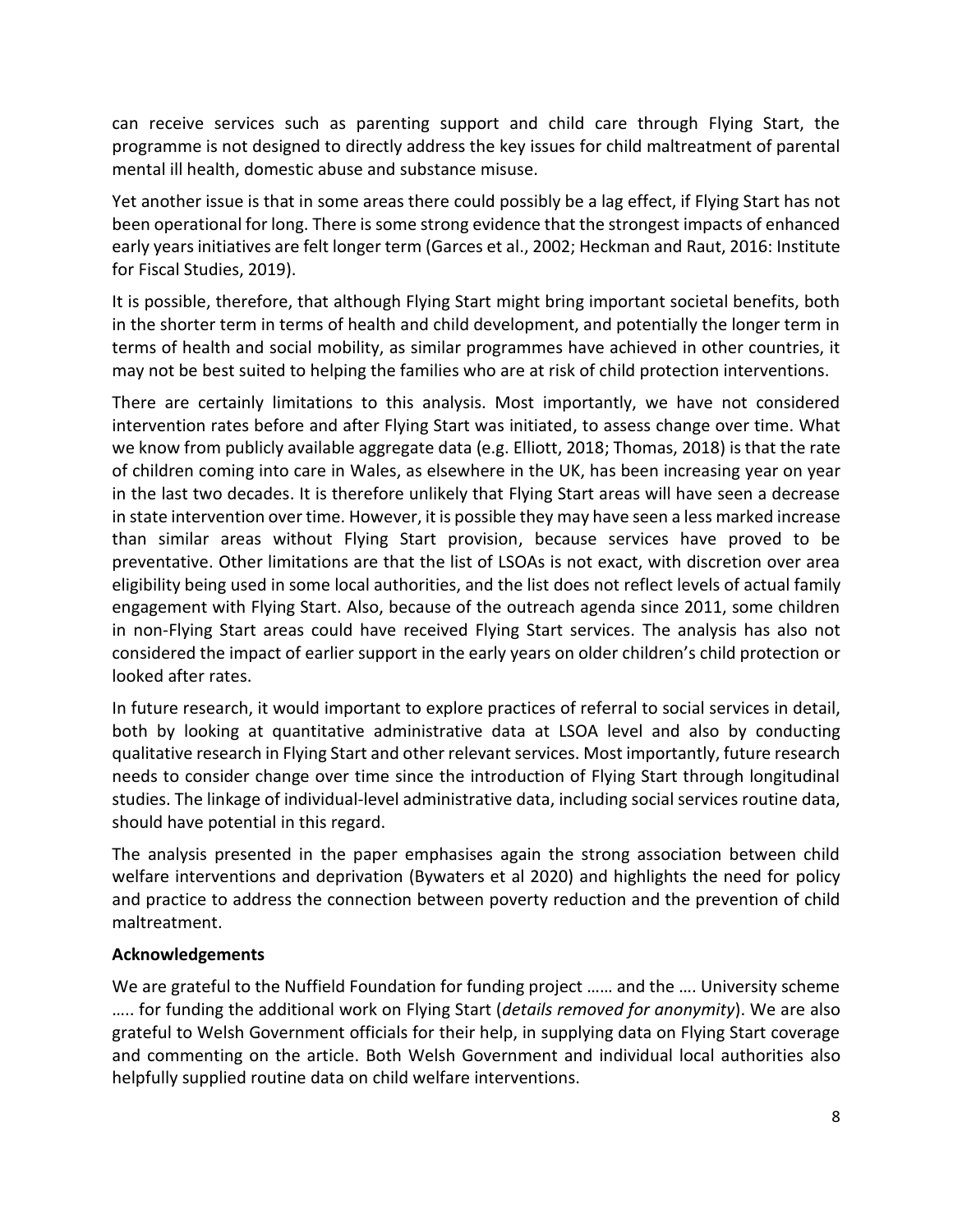can receive services such as parenting support and child care through Flying Start, the programme is not designed to directly address the key issues for child maltreatment of parental mental ill health, domestic abuse and substance misuse.

Yet another issue is that in some areas there could possibly be a lag effect, if Flying Start has not been operational for long. There is some strong evidence that the strongest impacts of enhanced early years initiatives are felt longer term (Garces et al., 2002; Heckman and Raut, 2016: Institute for Fiscal Studies, 2019).

It is possible, therefore, that although Flying Start might bring important societal benefits, both in the shorter term in terms of health and child development, and potentially the longer term in terms of health and social mobility, as similar programmes have achieved in other countries, it may not be best suited to helping the families who are at risk of child protection interventions.

There are certainly limitations to this analysis. Most importantly, we have not considered intervention rates before and after Flying Start was initiated, to assess change over time. What we know from publicly available aggregate data (e.g. Elliott, 2018; Thomas, 2018) is that the rate of children coming into care in Wales, as elsewhere in the UK, has been increasing year on year in the last two decades. It is therefore unlikely that Flying Start areas will have seen a decrease in state intervention over time. However, it is possible they may have seen a less marked increase than similar areas without Flying Start provision, because services have proved to be preventative. Other limitations are that the list of LSOAs is not exact, with discretion over area eligibility being used in some local authorities, and the list does not reflect levels of actual family engagement with Flying Start. Also, because of the outreach agenda since 2011, some children in non-Flying Start areas could have received Flying Start services. The analysis has also not considered the impact of earlier support in the early years on older children's child protection or looked after rates.

In future research, it would important to explore practices of referral to social services in detail, both by looking at quantitative administrative data at LSOA level and also by conducting qualitative research in Flying Start and other relevant services. Most importantly, future research needs to consider change over time since the introduction of Flying Start through longitudinal studies. The linkage of individual-level administrative data, including social services routine data, should have potential in this regard.

The analysis presented in the paper emphasises again the strong association between child welfare interventions and deprivation (Bywaters et al 2020) and highlights the need for policy and practice to address the connection between poverty reduction and the prevention of child maltreatment.

## **Acknowledgements**

We are grateful to the Nuffield Foundation for funding project …… and the …. University scheme ….. for funding the additional work on Flying Start (*details removed for anonymity*). We are also grateful to Welsh Government officials for their help, in supplying data on Flying Start coverage and commenting on the article. Both Welsh Government and individual local authorities also helpfully supplied routine data on child welfare interventions.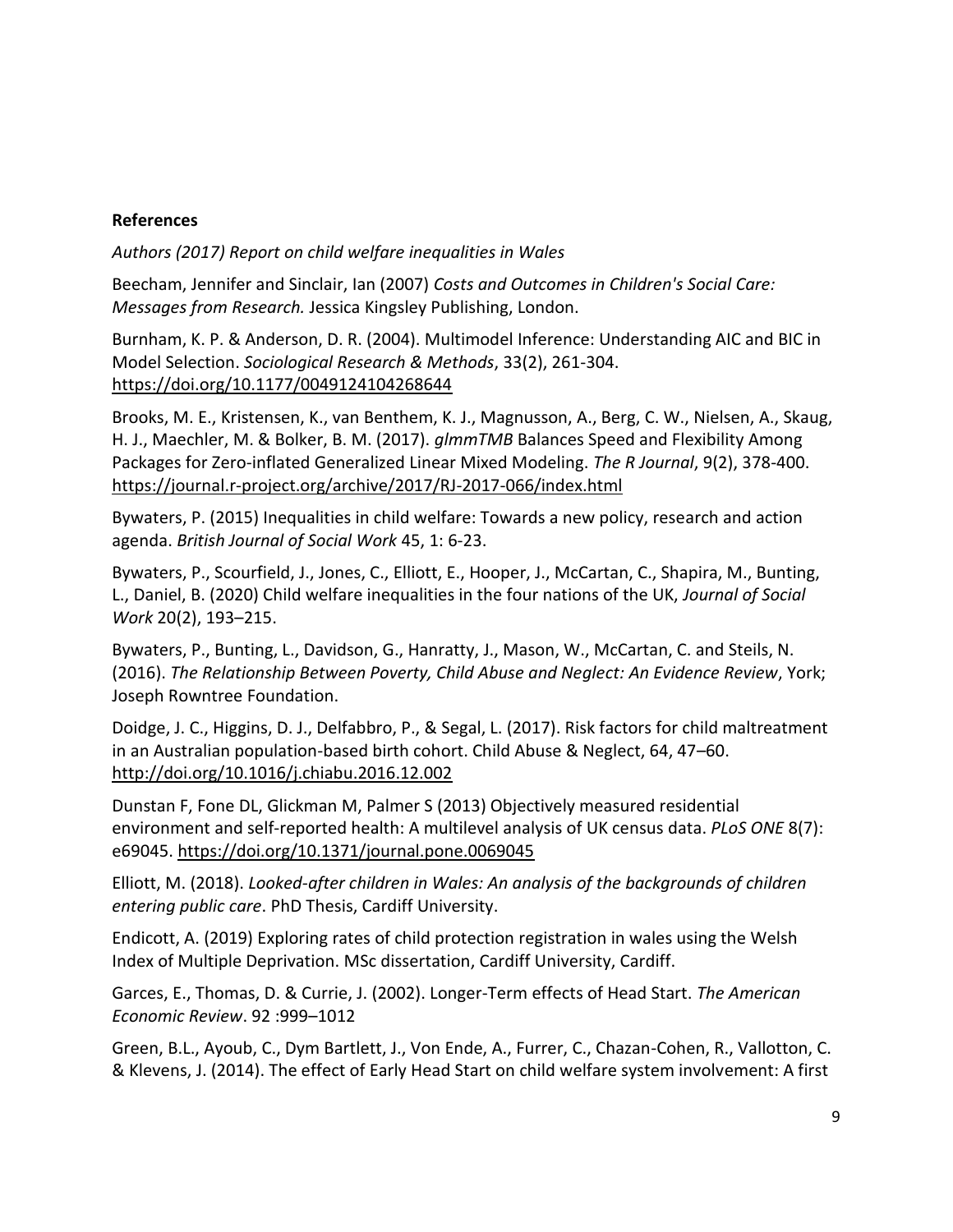### **References**

*Authors (2017) Report on child welfare inequalities in Wales* 

Beecham, Jennifer and Sinclair, Ian (2007) *Costs and Outcomes in Children's Social Care: Messages from Research.* Jessica Kingsley Publishing, London.

Burnham, K. P. & Anderson, D. R. (2004). Multimodel Inference: Understanding AIC and BIC in Model Selection. *Sociological Research & Methods*, 33(2), 261-304. <https://doi.org/10.1177/0049124104268644>

Brooks, M. E., Kristensen, K., van Benthem, K. J., Magnusson, A., Berg, C. W., Nielsen, A., Skaug, H. J., Maechler, M. & Bolker, B. M. (2017). *glmmTMB* Balances Speed and Flexibility Among Packages for Zero-inflated Generalized Linear Mixed Modeling. *The R Journal*, 9(2), 378-400. <https://journal.r-project.org/archive/2017/RJ-2017-066/index.html>

Bywaters, P. (2015) Inequalities in child welfare: Towards a new policy, research and action agenda. *British Journal of Social Work* 45, 1: 6-23.

Bywaters, P., Scourfield, J., Jones, C., Elliott, E., Hooper, J., McCartan, C., Shapira, M., Bunting, L., Daniel, B. (2020) Child welfare inequalities in the four nations of the UK, *Journal of Social Work* 20(2), 193–215.

Bywaters, P., Bunting, L., Davidson, G., Hanratty, J., Mason, W., McCartan, C. and Steils, N. (2016). *The Relationship Between Poverty, Child Abuse and Neglect: An Evidence Review*, York; Joseph Rowntree Foundation.

Doidge, J. C., Higgins, D. J., Delfabbro, P., & Segal, L. (2017). Risk factors for child maltreatment in an Australian population-based birth cohort. Child Abuse & Neglect, 64, 47–60. <http://doi.org/10.1016/j.chiabu.2016.12.002>

Dunstan F, Fone DL, Glickman M, Palmer S (2013) Objectively measured residential environment and self-reported health: A multilevel analysis of UK census data. *PLoS ONE* 8(7): e69045.<https://doi.org/10.1371/journal.pone.0069045>

Elliott, M. (2018). *Looked-after children in Wales: An analysis of the backgrounds of children entering public care*. PhD Thesis, Cardiff University.

Endicott, A. (2019) Exploring rates of child protection registration in wales using the Welsh Index of Multiple Deprivation. MSc dissertation, Cardiff University, Cardiff.

Garces, E., Thomas, D. & Currie, J. (2002). Longer-Term effects of Head Start. *The American Economic Review*. 92 :999–1012

Green, B.L., Ayoub, C., Dym Bartlett, J., Von Ende, A., Furrer, C., Chazan-Cohen, R., Vallotton, C. & Klevens, J. (2014). The effect of Early Head Start on child welfare system involvement: A first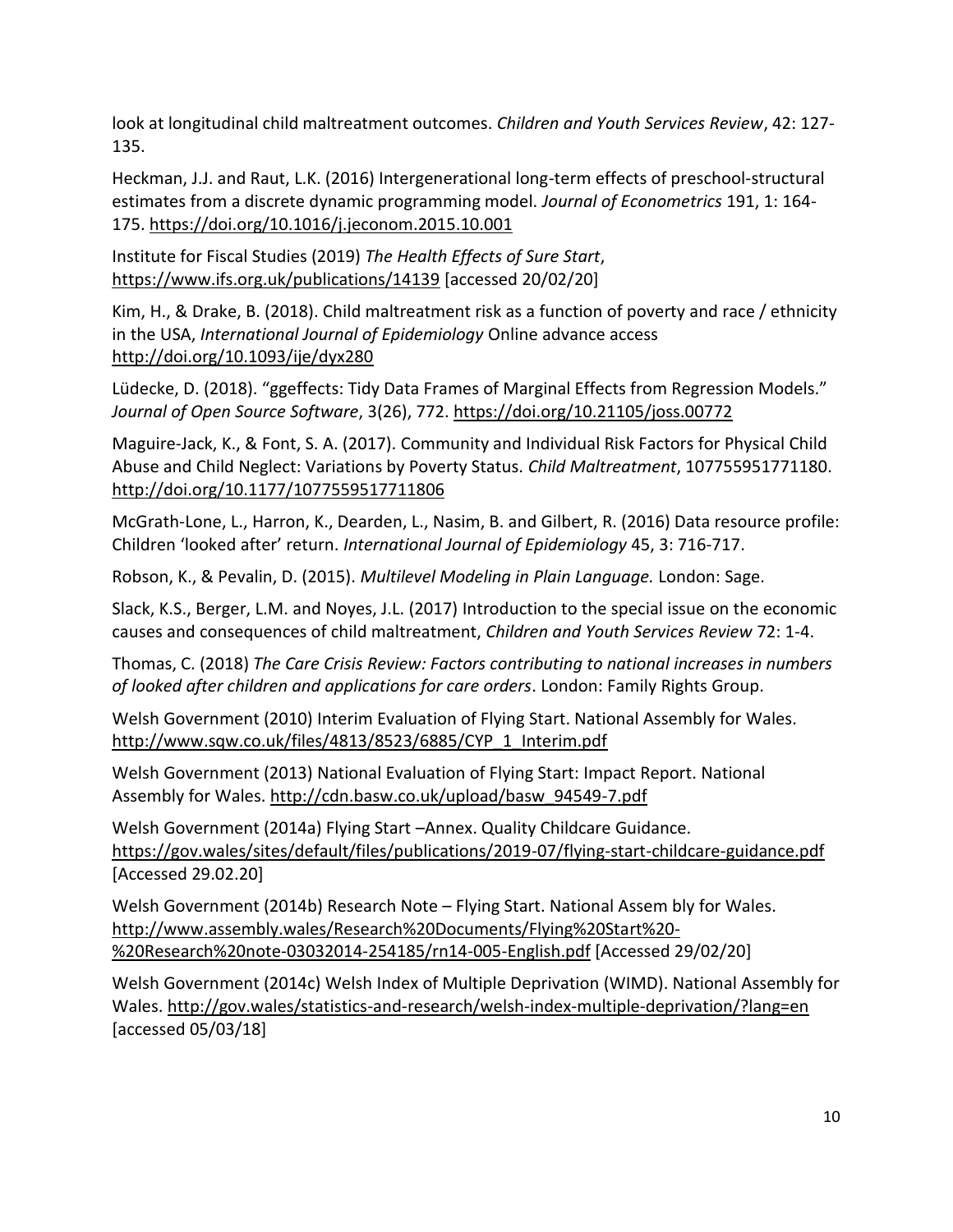look at longitudinal child maltreatment outcomes. *Children and Youth Services Review*, 42: 127- 135.

Heckman, J.J. and Raut, L.K. (2016) Intergenerational long-term effects of preschool-structural estimates from a discrete dynamic programming model. *Journal of Econometrics* 191, 1: 164- 175.<https://doi.org/10.1016/j.jeconom.2015.10.001>

Institute for Fiscal Studies (2019) *The Health Effects of Sure Start*, <https://www.ifs.org.uk/publications/14139>[accessed 20/02/20]

Kim, H., & Drake, B. (2018). Child maltreatment risk as a function of poverty and race / ethnicity in the USA, *International Journal of Epidemiology* Online advance access <http://doi.org/10.1093/ije/dyx280>

Lüdecke, D. (2018). "ggeffects: Tidy Data Frames of Marginal Effects from Regression Models." *Journal of Open Source Software*, 3(26), 772.<https://doi.org/10.21105/joss.00772>

Maguire-Jack, K., & Font, S. A. (2017). Community and Individual Risk Factors for Physical Child Abuse and Child Neglect: Variations by Poverty Status. *Child Maltreatment*, 107755951771180. <http://doi.org/10.1177/1077559517711806>

McGrath-Lone, L., Harron, K., Dearden, L., Nasim, B. and Gilbert, R. (2016) Data resource profile: Children 'looked after' return. *International Journal of Epidemiology* 45, 3: 716-717.

Robson, K., & Pevalin, D. (2015). *Multilevel Modeling in Plain Language.* London: Sage.

Slack, K.S., Berger, L.M. and Noyes, J.L. (2017) Introduction to the special issue on the economic causes and consequences of child maltreatment, *Children and Youth Services Review* 72: 1-4.

Thomas, C. (2018) *The Care Crisis Review: Factors contributing to national increases in numbers of looked after children and applications for care orders*. London: Family Rights Group.

Welsh Government (2010) Interim Evaluation of Flying Start. National Assembly for Wales. http://www.sqw.co.uk/files/4813/8523/6885/CYP\_1\_Interim.pdf

Welsh Government (2013) National Evaluation of Flying Start: Impact Report. National Assembly for Wales. [http://cdn.basw.co.uk/upload/basw\\_94549-7.pdf](http://cdn.basw.co.uk/upload/basw_94549-7.pdf) 

Welsh Government (2014a) Flying Start –Annex. Quality Childcare Guidance. <https://gov.wales/sites/default/files/publications/2019-07/flying-start-childcare-guidance.pdf> [Accessed 29.02.20]

Welsh Government (2014b) Research Note – Flying Start. National Assem bly for Wales. [http://www.assembly.wales/Research%20Documents/Flying%20Start%20-](http://www.assembly.wales/Research%20Documents/Flying%20Start%20-%20Research%20note-03032014-254185/rn14-005-English.pdf) [%20Research%20note-03032014-254185/rn14-005-English.pdf](http://www.assembly.wales/Research%20Documents/Flying%20Start%20-%20Research%20note-03032014-254185/rn14-005-English.pdf) [Accessed 29/02/20]

Welsh Government (2014c) Welsh Index of Multiple Deprivation (WIMD). National Assembly for Wales.<http://gov.wales/statistics-and-research/welsh-index-multiple-deprivation/?lang=en> [accessed 05/03/18]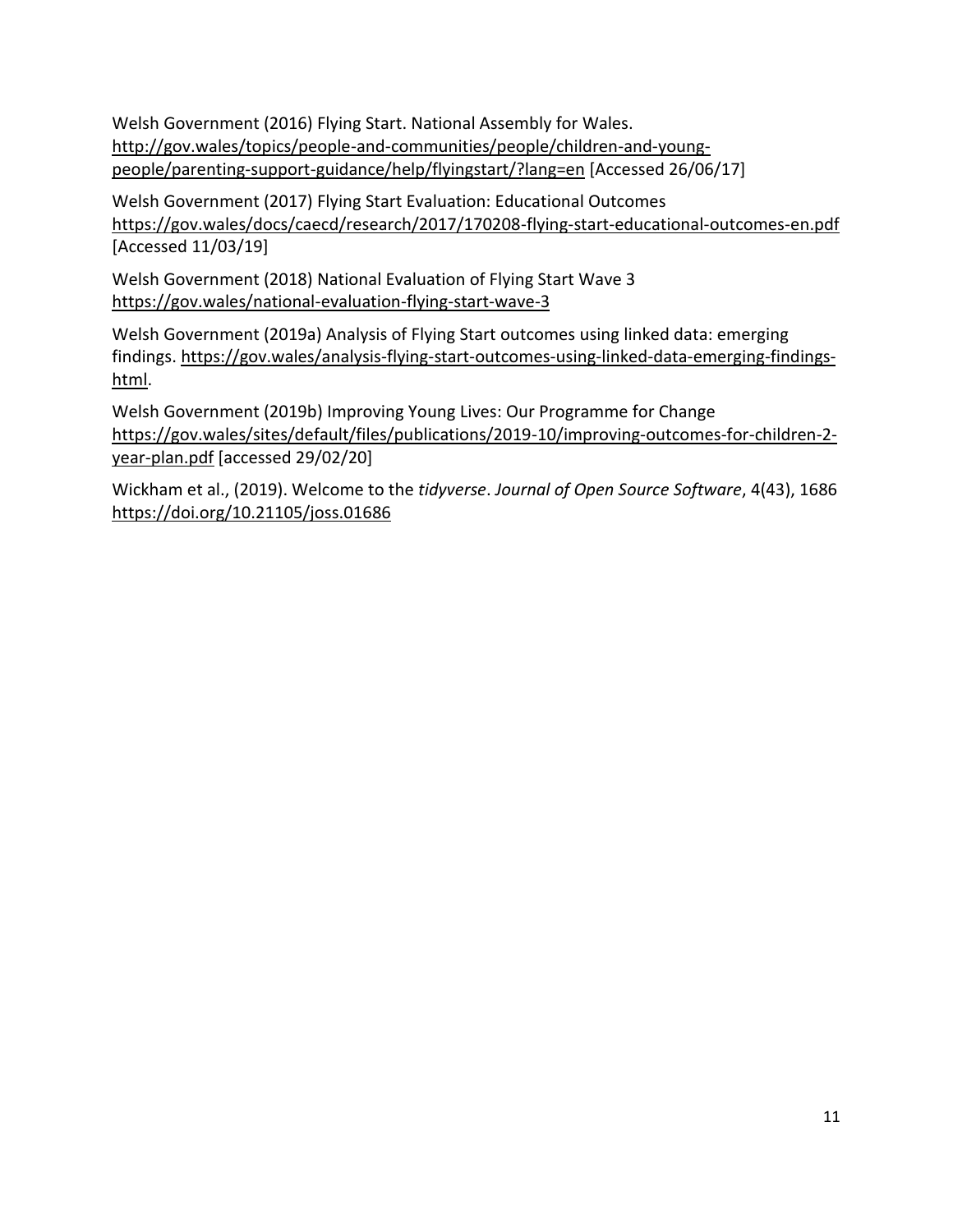Welsh Government (2016) Flying Start. National Assembly for Wales. [http://gov.wales/topics/people-and-communities/people/children-and-young](http://gov.wales/topics/people-and-communities/people/children-and-young-people/parenting-support-guidance/help/flyingstart/?lang=en)[people/parenting-support-guidance/help/flyingstart/?lang=en](http://gov.wales/topics/people-and-communities/people/children-and-young-people/parenting-support-guidance/help/flyingstart/?lang=en) [Accessed 26/06/17]

Welsh Government (2017) Flying Start Evaluation: Educational Outcomes <https://gov.wales/docs/caecd/research/2017/170208-flying-start-educational-outcomes-en.pdf> [Accessed 11/03/19]

Welsh Government (2018) National Evaluation of Flying Start Wave 3 <https://gov.wales/national-evaluation-flying-start-wave-3>

Welsh Government (2019a) Analysis of Flying Start outcomes using linked data: emerging findings. [https://gov.wales/analysis-flying-start-outcomes-using-linked-data-emerging-findings](https://gov.wales/analysis-flying-start-outcomes-using-linked-data-emerging-findings-html)[html.](https://gov.wales/analysis-flying-start-outcomes-using-linked-data-emerging-findings-html)

Welsh Government (2019b) Improving Young Lives: Our Programme for Change [https://gov.wales/sites/default/files/publications/2019-10/improving-outcomes-for-children-2](https://gov.wales/sites/default/files/publications/2019-10/improving-outcomes-for-children-2-year-plan.pdf) [year-plan.pdf](https://gov.wales/sites/default/files/publications/2019-10/improving-outcomes-for-children-2-year-plan.pdf) [accessed 29/02/20]

Wickham et al., (2019). Welcome to the *tidyverse*. *Journal of Open Source Software*, 4(43), 1686 <https://doi.org/10.21105/joss.01686>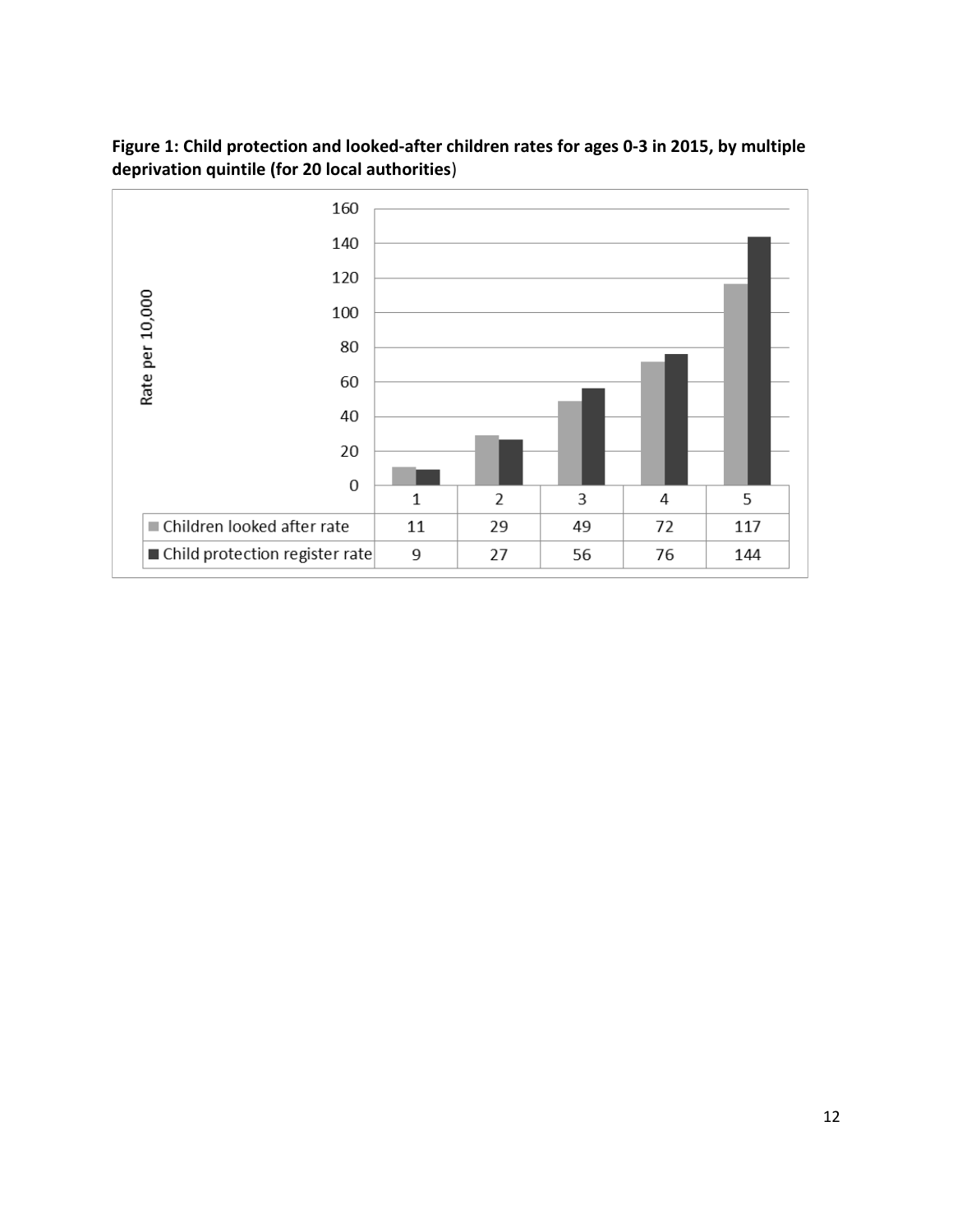

**Figure 1: Child protection and looked-after children rates for ages 0-3 in 2015, by multiple deprivation quintile (for 20 local authorities**)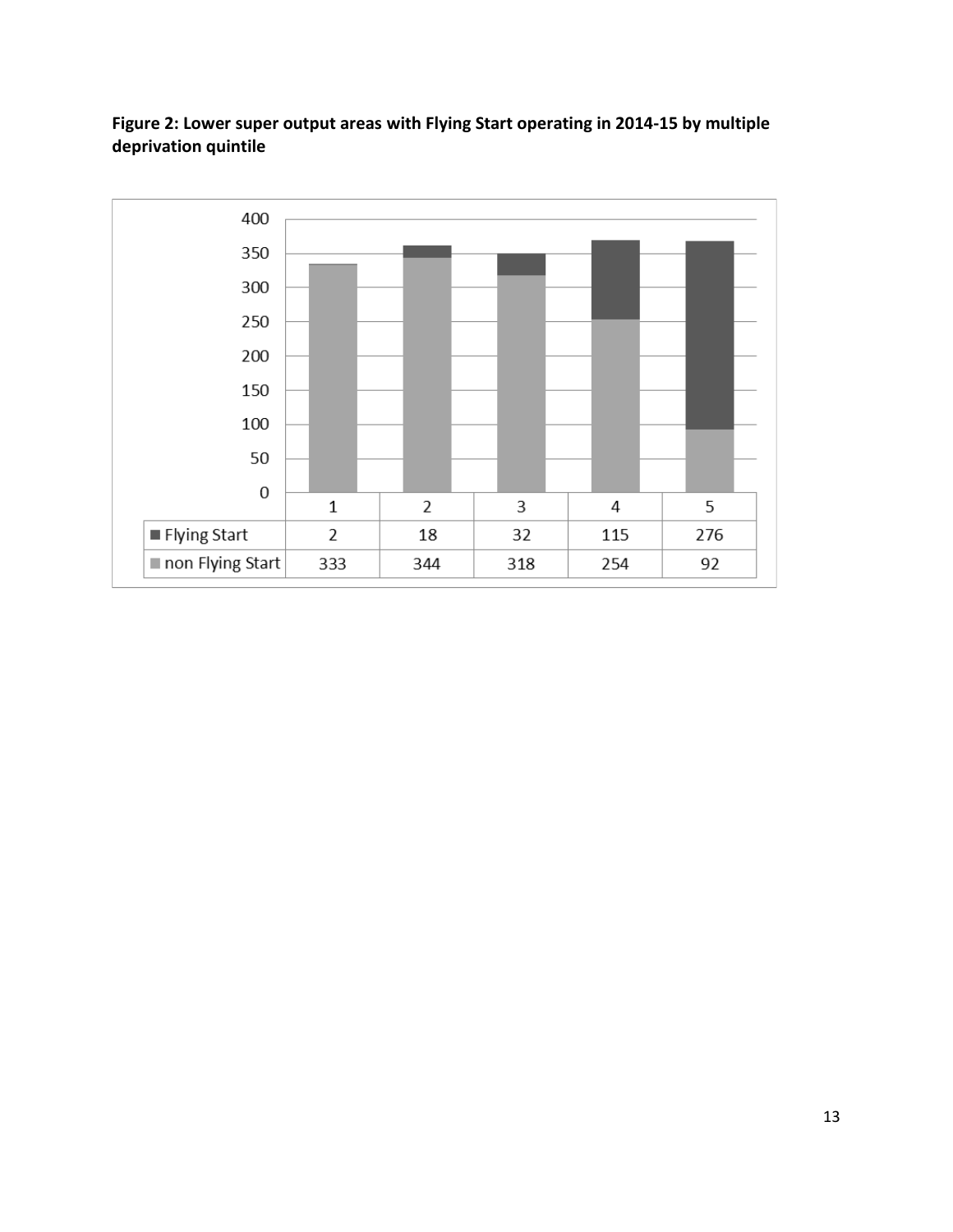

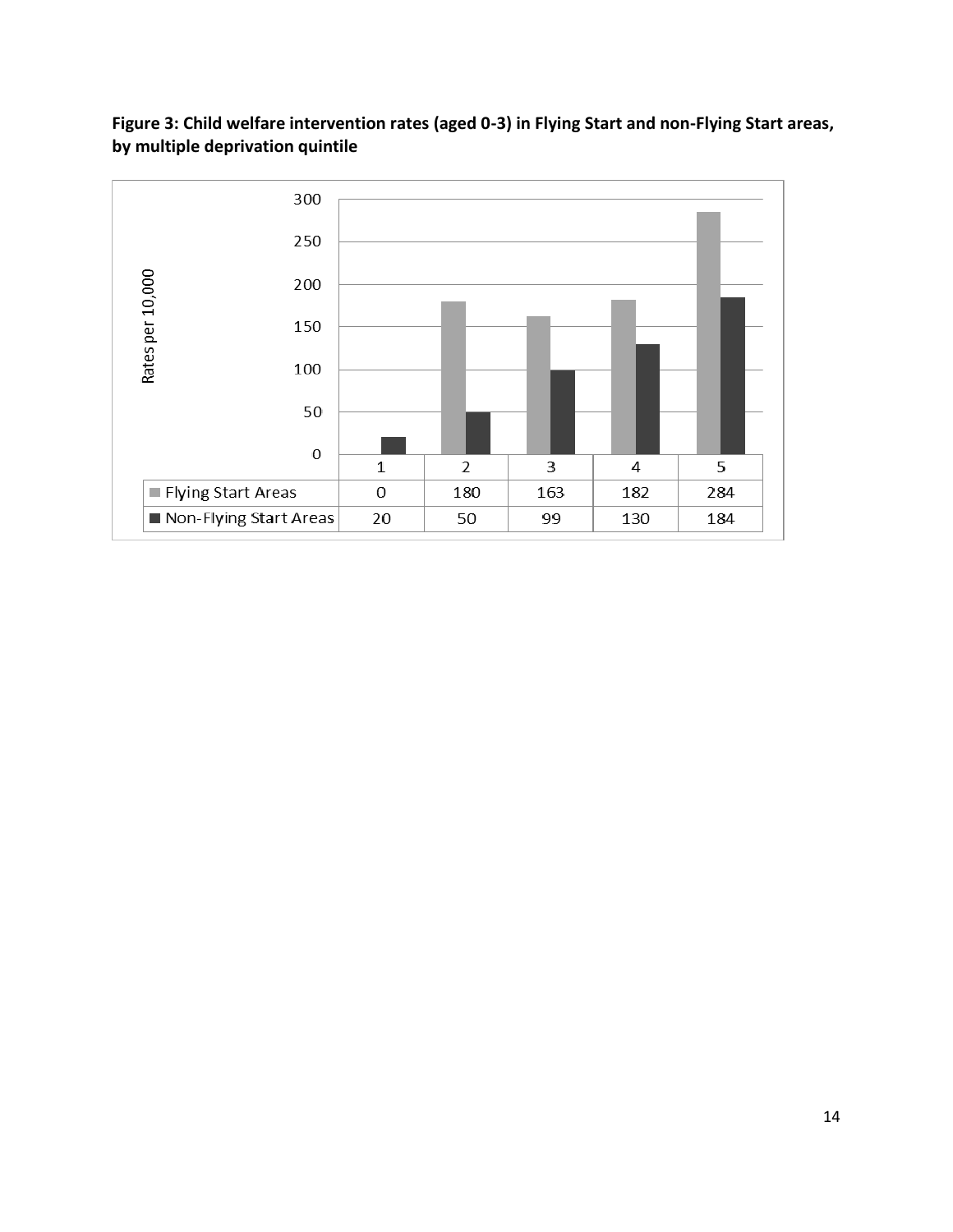

## **Figure 3: Child welfare intervention rates (aged 0-3) in Flying Start and non-Flying Start areas, by multiple deprivation quintile**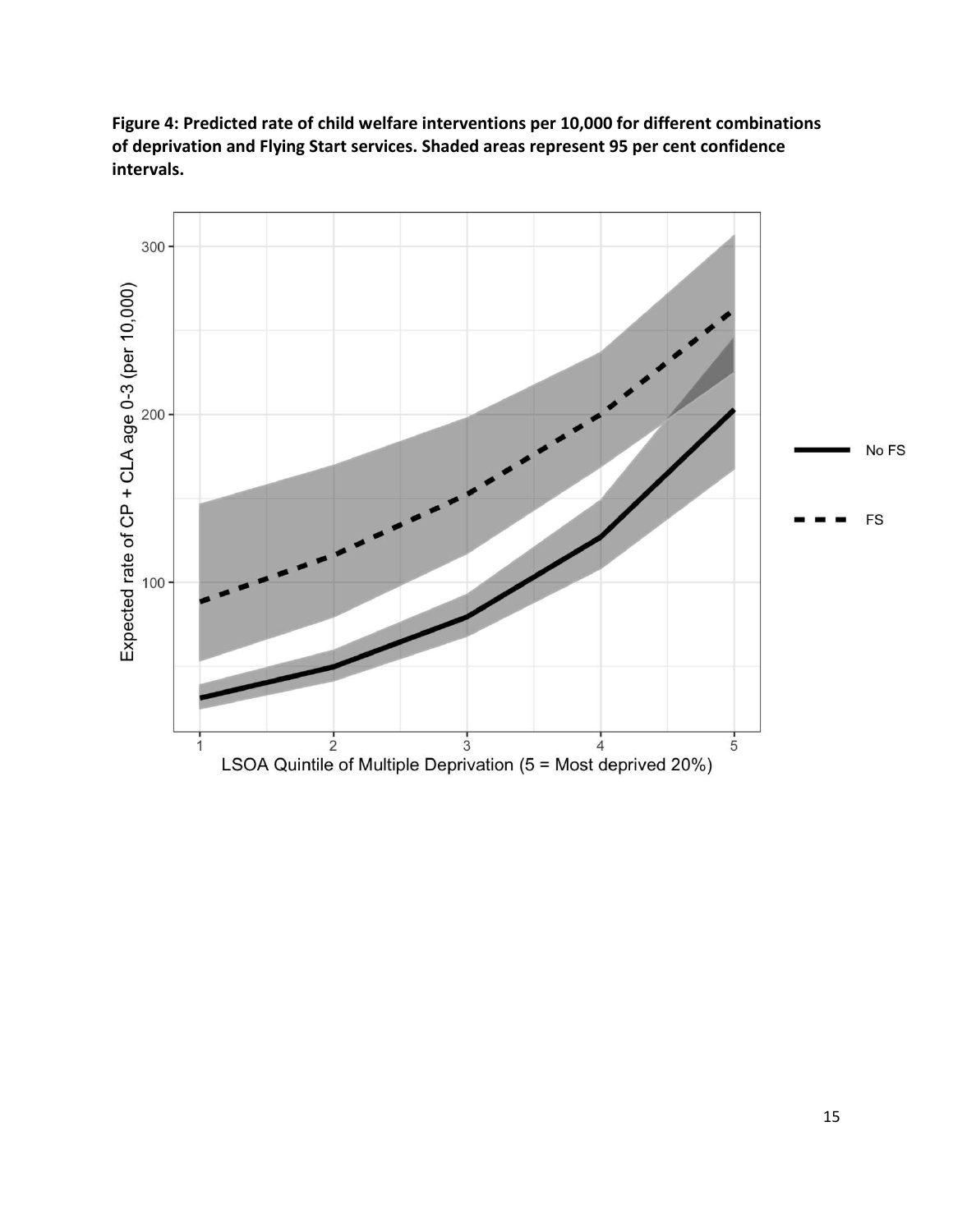

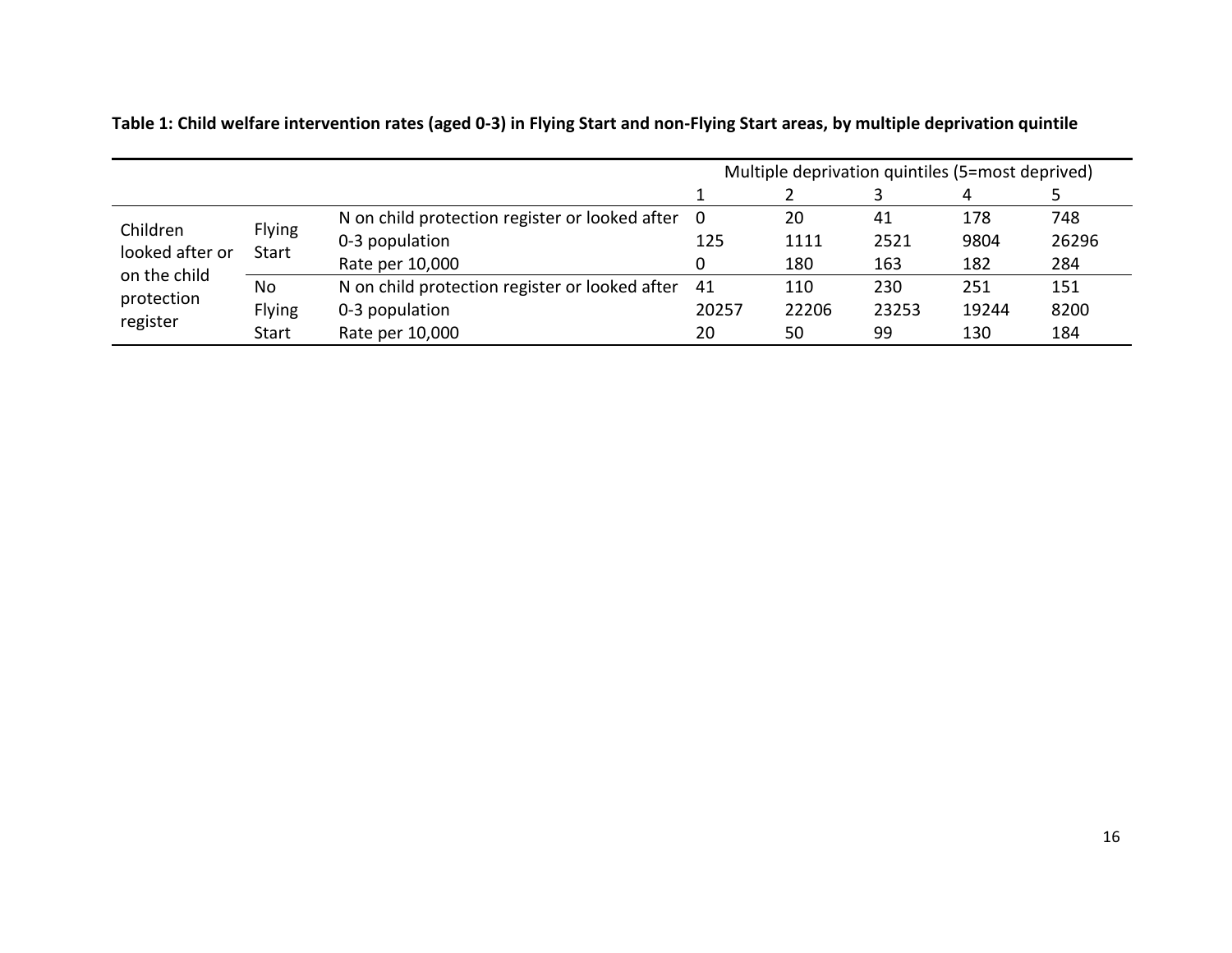|                                                                       |                        |                                                  | Multiple deprivation quintiles (5=most deprived) |       |       |       |       |  |
|-----------------------------------------------------------------------|------------------------|--------------------------------------------------|--------------------------------------------------|-------|-------|-------|-------|--|
|                                                                       |                        |                                                  |                                                  |       |       |       |       |  |
| Children<br>looked after or<br>on the child<br>protection<br>register | Flying<br><b>Start</b> | N on child protection register or looked after 0 |                                                  | 20    | 41    | 178   | 748   |  |
|                                                                       |                        | 0-3 population                                   | 125                                              | 1111  | 2521  | 9804  | 26296 |  |
|                                                                       |                        | Rate per 10,000                                  |                                                  | 180   | 163   | 182   | 284   |  |
|                                                                       | No                     | N on child protection register or looked after   | 41                                               | 110   | 230   | 251   | 151   |  |
|                                                                       | <b>Flying</b>          | 0-3 population                                   | 20257                                            | 22206 | 23253 | 19244 | 8200  |  |
|                                                                       | <b>Start</b>           | Rate per 10,000                                  | 20                                               | 50    | 99    | 130   | 184   |  |

**Table 1: Child welfare intervention rates (aged 0-3) in Flying Start and non-Flying Start areas, by multiple deprivation quintile**